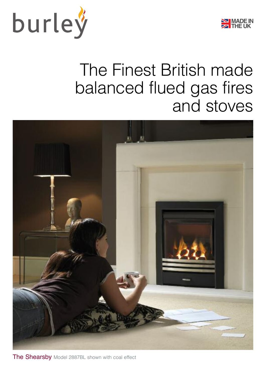



## The Finest British made balanced flued gas fires and stoves



The Shearsby Model 2887BL shown with coal effect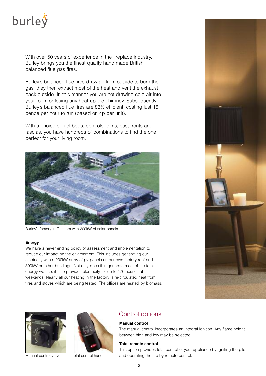

With over 50 years of experience in the fireplace industry, Burley brings you the finest quality hand made British balanced flue gas fires.

Burley's balanced flue fires draw air from outside to burn the gas, they then extract most of the heat and vent the exhaust back outside. In this manner you are not drawing cold air into your room or losing any heat up the chimney. Subsequently Burley's balanced flue fires are 83% efficient, costing just 16 pence per hour to run (based on 4p per unit).

With a choice of fuel beds, controls, trims, cast fronts and fascias, you have hundreds of combinations to find the one perfect for your living room.



Burley's factory in Oakham with 200kW of solar panels.

#### **Energy**

We have a never ending policy of assessment and implementation to reduce our impact on the environment. This includes generating our electricity with a 200kW array of pv panels on our own factory roof and 300kW on other buildings. Not only does this generate most of the total energy we use, it also provides electricity for up to 170 houses at weekends. Nearly all our heating in the factory is re-circulated heat from fires and stoves which are being tested. The offices are heated by biomass.







### Control options

#### **Manual control**

The manual control incorporates an integral ignition. Any flame height between high and low may be selected.

#### **total remote control**

This option provides total control of your appliance by igniting the pilot Manual control valve Total control handset and operating the fire by remote control.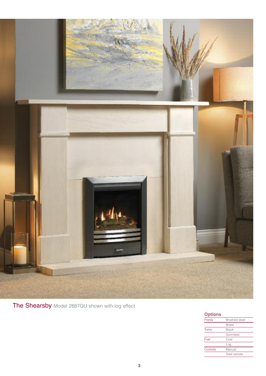

The Shearsby Model 2887GU shown with log effect

| <b>Options</b> |                      |
|----------------|----------------------|
| <b>Fronts</b>  | <b>Brushed</b> steel |
|                | <b>Brass</b>         |
| <b>Trims</b>   | <b>Black</b>         |
|                | Gunmetal             |
| Fuel           | Coal                 |
|                | Loa                  |
| Controls       | Manual               |
|                | Total remote         |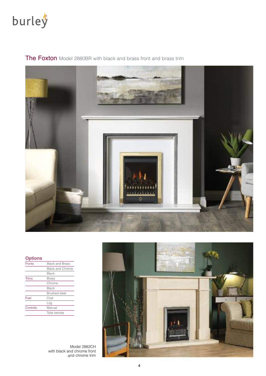

The Foxton Model 2880BR with black and brass front and brass trim



| <b>Fronts</b> | <b>Black and Brass</b>  |
|---------------|-------------------------|
|               | <b>Black and Chrome</b> |
|               | Black                   |
| <b>Trims</b>  | Brass                   |
|               | Chrome                  |
|               | Black                   |
|               | <b>Brushed</b> steel    |
| Fuel          | Coal                    |
|               | Loa                     |
| Controls      | Manual                  |
|               | Total remote            |
|               |                         |

Model 2882CH with black and chrome front and chrome trim

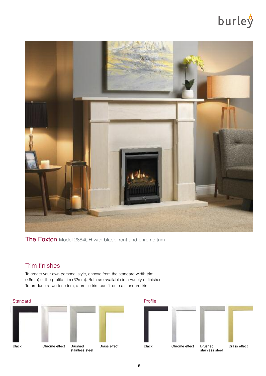

The Foxton Model 2884CH with black front and chrome trim

### Trim finishes

To create your own personal style, choose from the standard width trim (46mm) or the profile trim (32mm). Both are available in a variety of finishes. To produce a two-tone trim, a profile trim can fit onto a standard trim.





stainless steel

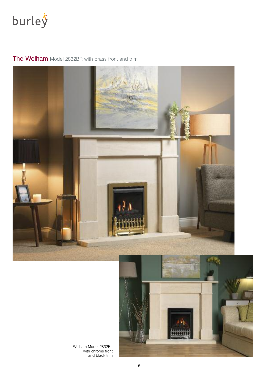

## The Welham Model 2832BR with brass front and trim





Welham Model 2832BL with chrome front and black trim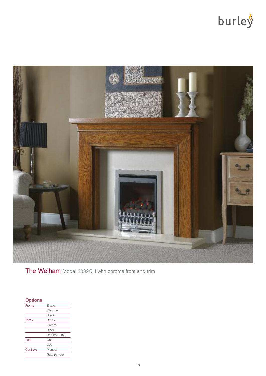

The Welham Model 2832CH with chrome front and trim

| <b>Options</b> |                      |
|----------------|----------------------|
| <b>Fronts</b>  | Brass                |
|                | Chrome               |
|                | Black                |
| <b>Trims</b>   | Brass                |
|                | Chrome               |
|                | Black                |
|                | <b>Brushed</b> steel |
| Fuel           | Coal                 |
|                | Log                  |
| Controls       | Manual               |
|                | Total remote         |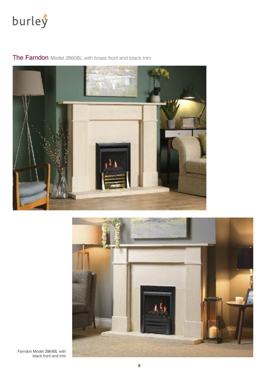



The Farndon Model 2860BL with brass front and black trim



Farndon Model 2864BL with black front and trim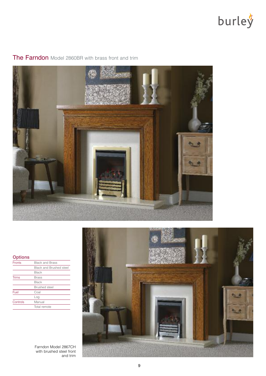



## The Farndon Model 2860BR with brass front and trim

### **Options**

| <b>Fronts</b> | <b>Black and Brass</b>         |
|---------------|--------------------------------|
|               | <b>Black and Brushed steel</b> |
|               | <b>Black</b>                   |
| <b>Trims</b>  | <b>Brass</b>                   |
|               | <b>Black</b>                   |
|               | <b>Brushed</b> steel           |
| Fuel          | Coal                           |
|               | Loa                            |
| Controls      | Manual                         |
|               | Total remote                   |
|               |                                |



Farndon Model 2867CH with brushed steel front and trim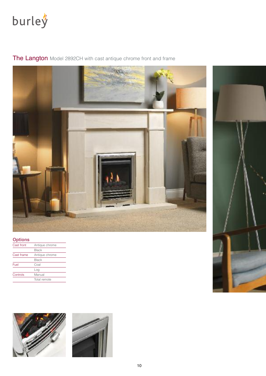

The Langton Model 2892CH with cast antique chrome front and frame

### **Options**

| Cast front | Antique chrome |
|------------|----------------|
|            | Black          |
| Cast frame | Antique chrome |
|            | <b>Black</b>   |
| Fuel       | Coal           |
|            | Loa            |
| Controls   | Manual         |
|            | Total remote   |





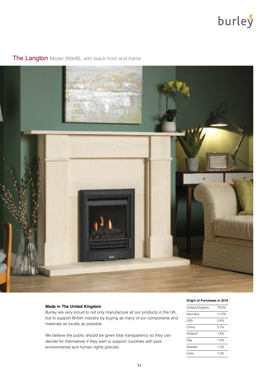

## The Langton Model 2894BL with black front and frame



#### **Made in the United Kingdom**

Burley are very proud to not only manufacture all our products in the UK, but to support British industry by buying as many of our components and materials as locally as possible.

We believe the public should be given total transparency so they can decide for themselves if they wish to support countries with poor environmental and human rights policies.

#### **Origin of Purchases in 2019**

| United Kingdom | 78.8% |
|----------------|-------|
| Germany        | 11.0% |
| USA            | 2.6%  |
| China          | 2.2%  |
| Holland        | 1.8%  |
| Italy          | 14%   |
| Sweden         | 1.3%  |
| India          | 1.0%  |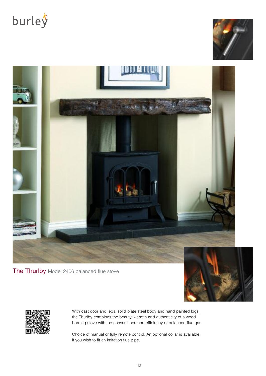





The Thurlby Model 2406 balanced flue stove





With cast door and legs, solid plate steel body and hand painted logs, the Thurlby combines the beauty, warmth and authenticity of a wood burning stove with the convenience and efficiency of balanced flue gas.

Choice of manual or fully remote control. An optional collar is available if you wish to fit an imitation flue pipe.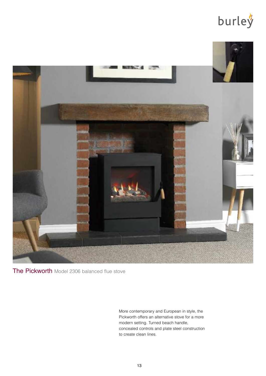

The Pickworth Model 2306 balanced flue stove

More contemporary and European in style, the Pickworth offers an alternative stove for a more modern setting. Turned beach handle, concealed controls and plate steel construction to create clean lines.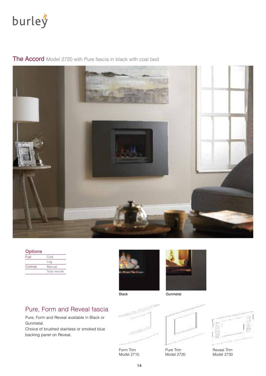

The Accord Model 2720 with Pure fascia in black with coal bed



| <b>Options</b> |              |
|----------------|--------------|
| Fuel           | Coal         |
|                | Log          |
| Controls       | Manual       |
|                | Total remote |





## Pure, Form and Reveal fascia

Pure, Form and Reveal available in Black or Gunmetal.

Choice of brushed stainless or smoked blue backing panel on Reveal.



Form Trim Model 2710



Pure Trim Model 2720



Reveal Trim Model 2730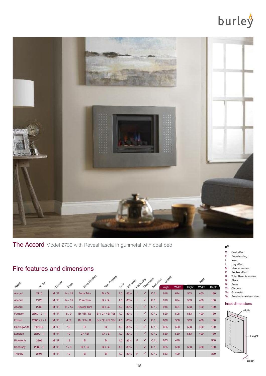

## The Accord Model 2730 with Reveal fascia in gunmetal with coal bed

### Fire features and dimensions

|              |                |         |       | Front Finishes     | Trim Finishes     |       |            |   | Positioning  | Thermostat<br>Fuel effect | Overall |       |        | Inser |       |
|--------------|----------------|---------|-------|--------------------|-------------------|-------|------------|---|--------------|---------------------------|---------|-------|--------|-------|-------|
| Name         | Model          | Control | Page  |                    |                   | Input | Exficiency |   |              |                           | Height  | Width | Height | Width | Depth |
| Accord       | 2710           | M/R     | 14/15 | Form Trim          | BI / Gu           | 4.0   | 83%        |   | $\sqrt{}$    | C/L                       | 916     | 624   | 553    | 400   | 180   |
| Accord       | 2720           | M/R     | 14/15 | <b>Pure Trim</b>   | BI / Gu           | 4.0   | 83%        |   | $\checkmark$ | C/L                       | 916     | 624   | 553    | 400   | 180   |
| Accord       | 2730           | M/R     | 14/15 | <b>Reveal Trim</b> | BI / Gu           | 4.0   | 83%        |   | V            | C/L                       | 916     | 624   | 553    | 400   | 180   |
| Farndon      | $2860 - 2 - 4$ | M/R     | 8/9   | Br / BI / Ss       | Br / Ch / BI / Ss | 4.0   | 83%        |   | ✓            | C/L                       | 620     | 508   | 553    | 400   | 180   |
| Foxton       | $2880 - 2 - 4$ | M/R     | 4/5   | Br / Ch / Bl       | Br / Ch / BI / Ss | 4.0   | 83%        |   | ✓            | C/L                       | 620     | 508   | 553    | 400   | 180   |
| Harringworth | 2874BL         | M/R     | 16    | <b>BI</b>          | BI                | 4.0   | 83%        |   | ✓            | C/L                       | 625     | 508   | 553    | 400   | 180   |
| Langton      | $2892 - 4$     | M/R     | 10    | Ch / BI            | Ch / BI           | 4.0   | 83%        |   | J            | C/L                       | 630     | 530   | 553    | 400   | 180   |
| Pickworth    | 2306           | M/R     | 13    | <b>BI</b>          | BI                | 4.0   | 83%        | F | J            | C/L                       | 633     | 490   |        |       | 380   |
| Shearsby     | $2880 - 8$     | M/R     | 1/3   | BI/Ss              | BI / Gu           | 4.0   | 83%        |   | $\sqrt{2}$   | C/L                       | 625     | 508   | 553    | 400   | 180   |
| Thurlby      | 2406           | M/R     | 12    | <b>BI</b>          | BI                | 4.0   | 83%        | F |              | C/L                       | 633     | 490   |        |       | 380   |

## Key

- C Coal effect
- F Freestanding
- I Inset
- L Log effect M Manual control<br>P Pebble effect
	- Pebble effect
- R Total Remote control Bl Black
- Br Brass
- Ch Chrome Gu Gunmetal
	- Ss Brushed stainless steel

#### nset dimensions